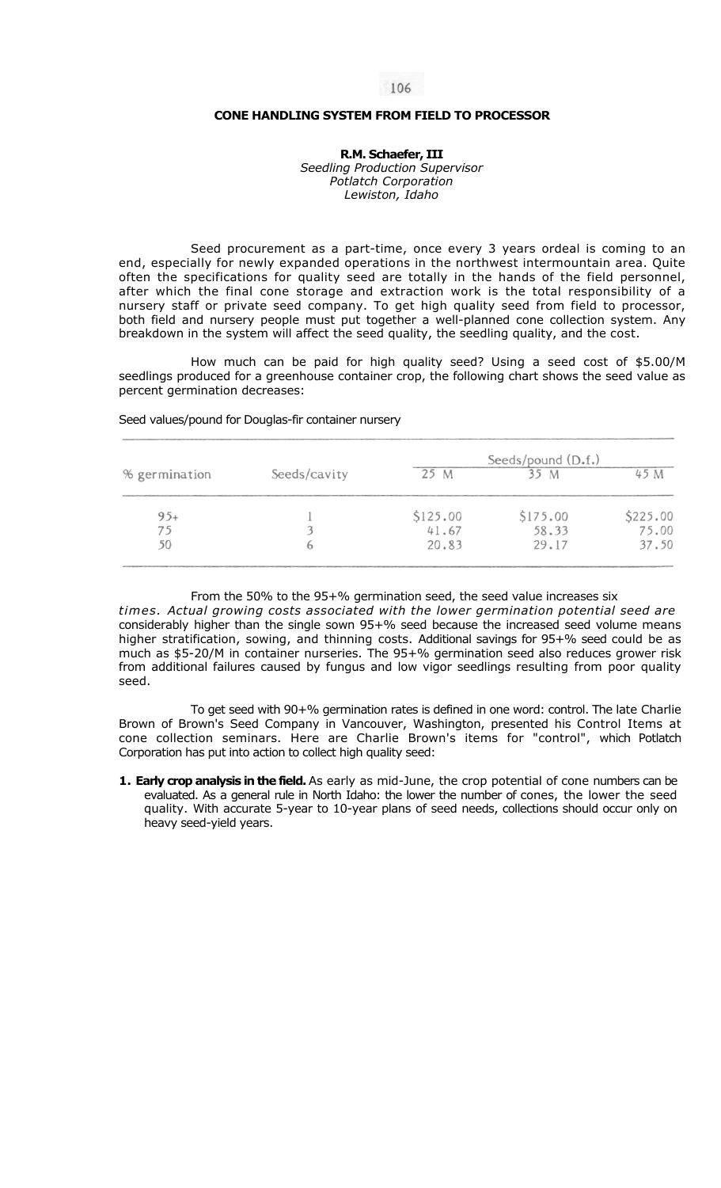## **CONE HANDLING SYSTEM FROM FIELD TO PROCESSOR**

**R.M. Schaefer, III**  *Seedling Production Supervisor Potlatch Corporation Lewiston, Idaho* 

Seed procurement as a part-time, once every 3 years ordeal is coming to an end, especially for newly expanded operations in the northwest intermountain area. Quite often the specifications for quality seed are totally in the hands of the field personnel, after which the final cone storage and extraction work is the total responsibility of a nursery staff or private seed company. To get high quality seed from field to processor, both field and nursery people must put together a well-planned cone collection system. Any breakdown in the system will affect the seed quality, the seedling quality, and the cost.

How much can be paid for high quality seed? Using a seed cost of \$5.00/M seedlings produced for a greenhouse container crop, the following chart shows the seed value as percent germination decreases:

| % germination | Seeds/cavity | Seeds/pound $(D.f.)$ |          |          |
|---------------|--------------|----------------------|----------|----------|
|               |              | 25 M                 | 35 M     | 45 M     |
| $95+$         |              | \$125.00             | \$175.00 | \$225.00 |
| 75            |              | 41.67                | 58.33    | 75.00    |
| 50            |              | 20.83                | 29.17    | 37.50    |

Seed values/pound for Douglas-fir container nursery

## From the 50% to the 95+% germination seed, the seed value increases six

*times. Actual growing costs associated with the lower germination potential seed are*  considerably higher than the single sown 95+% seed because the increased seed volume means higher stratification, sowing, and thinning costs. Additional savings for 95+% seed could be as much as \$5-20/M in container nurseries. The 95+% germination seed also reduces grower risk from additional failures caused by fungus and low vigor seedlings resulting from poor quality seed.

To get seed with 90+% germination rates is defined in one word: control. The late Charlie Brown of Brown's Seed Company in Vancouver, Washington, presented his Control Items at cone collection seminars. Here are Charlie Brown's items for "control", which Potlatch Corporation has put into action to collect high quality seed:

**1. Early crop analysis in the field.** As early as mid-June, the crop potential of cone numbers can be evaluated. As a general rule in North Idaho: the lower the number of cones, the lower the seed quality. With accurate 5-year to 10-year plans of seed needs, collections should occur only on heavy seed-yield years.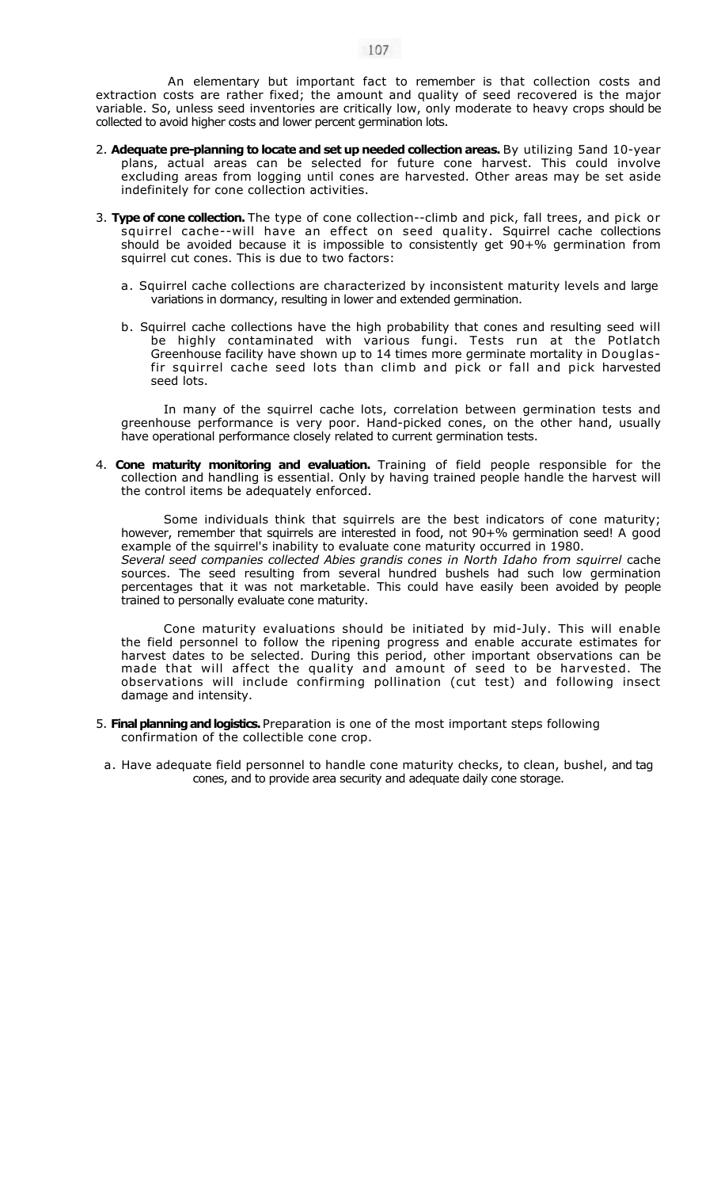An elementary but important fact to remember is that collection costs and extraction costs are rather fixed; the amount and quality of seed recovered is the major variable. So, unless seed inventories are critically low, only moderate to heavy crops should be collected to avoid higher costs and lower percent germination lots.

- 2. **Adequate pre-planning to locate and set up needed collection areas.** By utilizing 5and 10-year plans, actual areas can be selected for future cone harvest. This could involve excluding areas from logging until cones are harvested. Other areas may be set aside indefinitely for cone collection activities.
- 3. **Type of cone collection.** The type of cone collection--climb and pick, fall trees, and pick or squirrel cache--will have an effect on seed quality. Squirrel cache collections should be avoided because it is impossible to consistently get 90+% germination from squirrel cut cones. This is due to two factors:
	- a. Squirrel cache collections are characterized by inconsistent maturity levels and large variations in dormancy, resulting in lower and extended germination.
	- b. Squirrel cache collections have the high probability that cones and resulting seed will be highly contaminated with various fungi. Tests run at the Potlatch Greenhouse facility have shown up to 14 times more germinate mortality in Douglasfir squirrel cache seed lots than climb and pick or fall and pick harvested seed lots.

In many of the squirrel cache lots, correlation between germination tests and greenhouse performance is very poor. Hand-picked cones, on the other hand, usually have operational performance closely related to current germination tests.

4. **Cone maturity monitoring and evaluation.** Training of field people responsible for the collection and handling is essential. Only by having trained people handle the harvest will the control items be adequately enforced.

Some individuals think that squirrels are the best indicators of cone maturity; however, remember that squirrels are interested in food, not 90+% germination seed! A good example of the squirrel's inability to evaluate cone maturity occurred in 1980. Several seed companies collected Abies grandis cones in North Idaho from squirrel cache sources. The seed resulting from several hundred bushels had such low germination percentages that it was not marketable. This could have easily been avoided by people trained to personally evaluate cone maturity.

Cone maturity evaluations should be initiated by mid-July. This will enable the field personnel to follow the ripening progress and enable accurate estimates for harvest dates to be selected. During this period, other important observations can be made that will affect the quality and amount of seed to be harvested. The observations will include confirming pollination (cut test) and following insect damage and intensity.

- 5. **Final planning and logistics.** Preparation is one of the most important steps following confirmation of the collectible cone crop.
	- a. Have adequate field personnel to handle cone maturity checks, to clean, bushel, and tag cones, and to provide area security and adequate daily cone storage.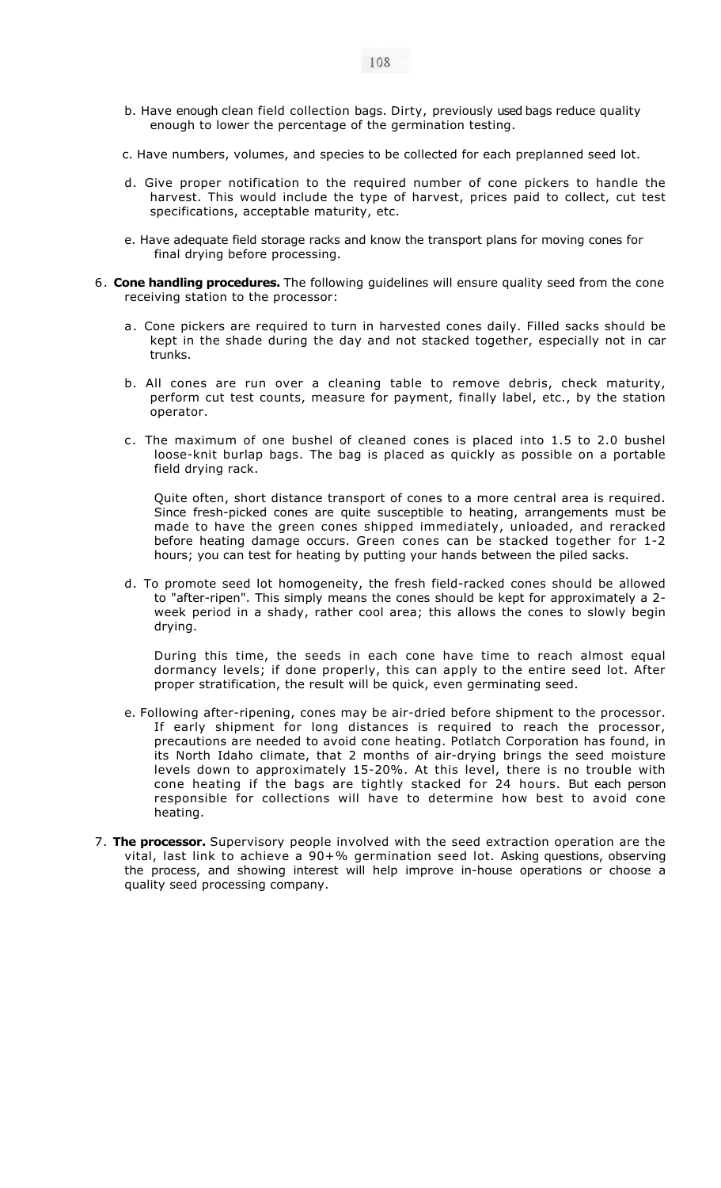- b. Have enough clean field collection bags. Dirty, previously used bags reduce quality enough to lower the percentage of the germination testing.
- c. Have numbers, volumes, and species to be collected for each preplanned seed lot.
- d. Give proper notification to the required number of cone pickers to handle the harvest. This would include the type of harvest, prices paid to collect, cut test specifications, acceptable maturity, etc.
- e. Have adequate field storage racks and know the transport plans for moving cones for final drying before processing.
- 6. **Cone handling procedures.** The following guidelines will ensure quality seed from the cone receiving station to the processor:
	- a. Cone pickers are required to turn in harvested cones daily. Filled sacks should be kept in the shade during the day and not stacked together, especially not in car trunks.
	- b. All cones are run over a cleaning table to remove debris, check maturity, perform cut test counts, measure for payment, finally label, etc., by the station operator.
	- c. The maximum of one bushel of cleaned cones is placed into 1.5 to 2.0 bushel loose-knit burlap bags. The bag is placed as quickly as possible on a portable field drying rack.

Quite often, short distance transport of cones to a more central area is required. Since fresh-picked cones are quite susceptible to heating, arrangements must be made to have the green cones shipped immediately, unloaded, and reracked before heating damage occurs. Green cones can be stacked together for 1-2 hours; you can test for heating by putting your hands between the piled sacks.

d. To promote seed lot homogeneity, the fresh field-racked cones should be allowed to "after-ripen". This simply means the cones should be kept for approximately a 2 week period in a shady, rather cool area; this allows the cones to slowly begin drying.

During this time, the seeds in each cone have time to reach almost equal dormancy levels; if done properly, this can apply to the entire seed lot. After proper stratification, the result will be quick, even germinating seed.

- e. Following after-ripening, cones may be air-dried before shipment to the processor. If early shipment for long distances is required to reach the processor, precautions are needed to avoid cone heating. Potlatch Corporation has found, in its North Idaho climate, that 2 months of air-drying brings the seed moisture levels down to approximately 15-20%. At this level, there is no trouble with cone heating if the bags are tightly stacked for 24 hours. But each person responsible for collections will have to determine how best to avoid cone heating.
- 7. **The processor.** Supervisory people involved with the seed extraction operation are the vital, last link to achieve a 90+% germination seed lot. Asking questions, observing the process, and showing interest will help improve in-house operations or choose a quality seed processing company.